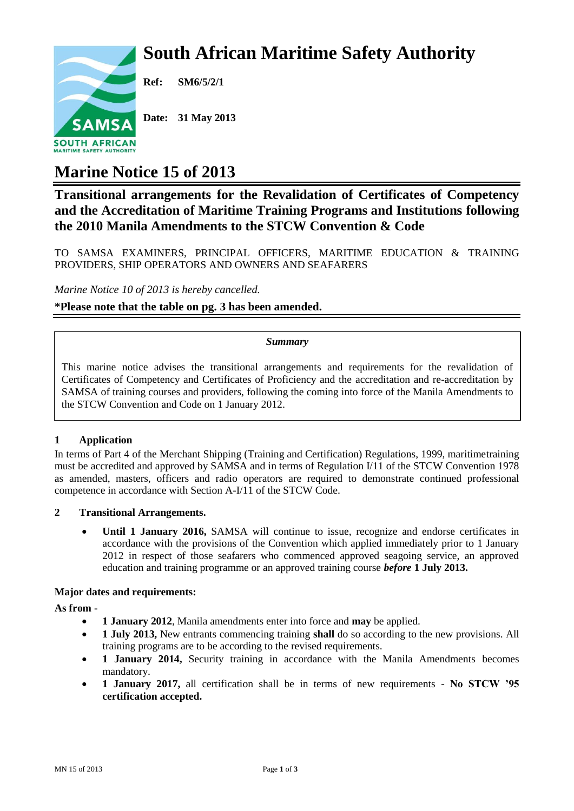# **South African Maritime Safety Authority**



**Ref: SM6/5/2/1**

**Date: 31 May 2013**

## **Marine Notice 15 of 2013**

### **Transitional arrangements for the Revalidation of Certificates of Competency and the Accreditation of Maritime Training Programs and Institutions following the 2010 Manila Amendments to the STCW Convention & Code**

TO SAMSA EXAMINERS, PRINCIPAL OFFICERS, MARITIME EDUCATION & TRAINING PROVIDERS, SHIP OPERATORS AND OWNERS AND SEAFARERS

*Marine Notice 10 of 2013 is hereby cancelled.*

**\*Please note that the table on pg. 3 has been amended.**

#### *Summary*

This marine notice advises the transitional arrangements and requirements for the revalidation of Certificates of Competency and Certificates of Proficiency and the accreditation and re-accreditation by SAMSA of training courses and providers, following the coming into force of the Manila Amendments to the STCW Convention and Code on 1 January 2012.

#### **1 Application**

In terms of Part 4 of the Merchant Shipping (Training and Certification) Regulations, 1999, maritimetraining must be accredited and approved by SAMSA and in terms of Regulation I/11 of the STCW Convention 1978 as amended, masters, officers and radio operators are required to demonstrate continued professional competence in accordance with Section A-I/11 of the STCW Code.

#### **2 Transitional Arrangements.**

 **Until 1 January 2016,** SAMSA will continue to issue, recognize and endorse certificates in accordance with the provisions of the Convention which applied immediately prior to 1 January 2012 in respect of those seafarers who commenced approved seagoing service, an approved education and training programme or an approved training course *before* **1 July 2013.**

#### **Major dates and requirements:**

**As from -**

- **1 January 2012**, Manila amendments enter into force and **may** be applied.
- **1 July 2013,** New entrants commencing training **shall** do so according to the new provisions. All training programs are to be according to the revised requirements.
- **1 January 2014,** Security training in accordance with the Manila Amendments becomes mandatory.
- **1 January 2017,** all certification shall be in terms of new requirements **No STCW '95 certification accepted.**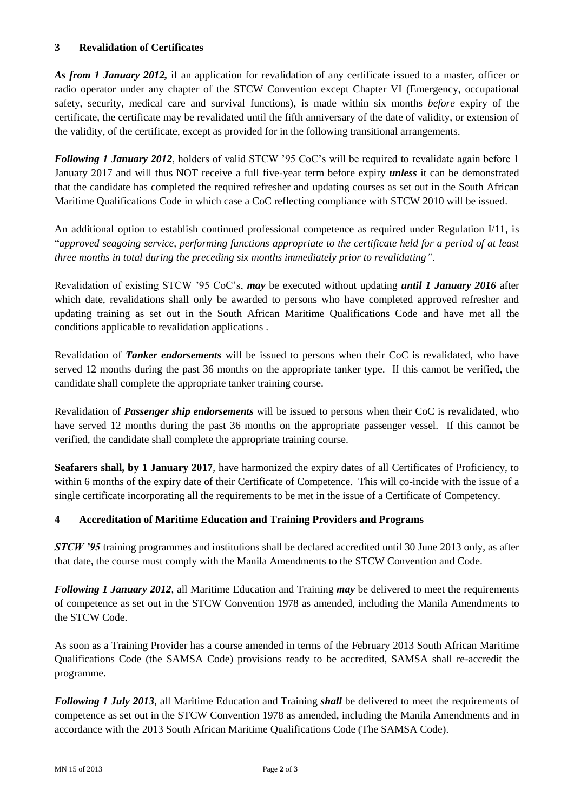#### **3 Revalidation of Certificates**

*As from 1 January 2012,* if an application for revalidation of any certificate issued to a master, officer or radio operator under any chapter of the STCW Convention except Chapter VI (Emergency, occupational safety, security, medical care and survival functions), is made within six months *before* expiry of the certificate, the certificate may be revalidated until the fifth anniversary of the date of validity, or extension of the validity, of the certificate, except as provided for in the following transitional arrangements.

*Following 1 January 2012*, holders of valid STCW '95 CoC's will be required to revalidate again before 1 January 2017 and will thus NOT receive a full five-year term before expiry *unless* it can be demonstrated that the candidate has completed the required refresher and updating courses as set out in the South African Maritime Qualifications Code in which case a CoC reflecting compliance with STCW 2010 will be issued.

An additional option to establish continued professional competence as required under Regulation I/11, is "*approved seagoing service, performing functions appropriate to the certificate held for a period of at least three months in total during the preceding six months immediately prior to revalidating"*.

Revalidation of existing STCW '95 CoC's, *may* be executed without updating *until 1 January 2016* after which date, revalidations shall only be awarded to persons who have completed approved refresher and updating training as set out in the South African Maritime Qualifications Code and have met all the conditions applicable to revalidation applications .

Revalidation of *Tanker endorsements* will be issued to persons when their CoC is revalidated, who have served 12 months during the past 36 months on the appropriate tanker type. If this cannot be verified, the candidate shall complete the appropriate tanker training course.

Revalidation of *Passenger ship endorsements* will be issued to persons when their CoC is revalidated, who have served 12 months during the past 36 months on the appropriate passenger vessel. If this cannot be verified, the candidate shall complete the appropriate training course.

**Seafarers shall, by 1 January 2017**, have harmonized the expiry dates of all Certificates of Proficiency, to within 6 months of the expiry date of their Certificate of Competence. This will co-incide with the issue of a single certificate incorporating all the requirements to be met in the issue of a Certificate of Competency.

#### **4 Accreditation of Maritime Education and Training Providers and Programs**

*STCW '95* training programmes and institutions shall be declared accredited until 30 June 2013 only, as after that date, the course must comply with the Manila Amendments to the STCW Convention and Code.

*Following 1 January 2012*, all Maritime Education and Training *may* be delivered to meet the requirements of competence as set out in the STCW Convention 1978 as amended, including the Manila Amendments to the STCW Code.

As soon as a Training Provider has a course amended in terms of the February 2013 South African Maritime Qualifications Code (the SAMSA Code) provisions ready to be accredited, SAMSA shall re-accredit the programme.

*Following 1 July 2013*, all Maritime Education and Training *shall* be delivered to meet the requirements of competence as set out in the STCW Convention 1978 as amended, including the Manila Amendments and in accordance with the 2013 South African Maritime Qualifications Code (The SAMSA Code).